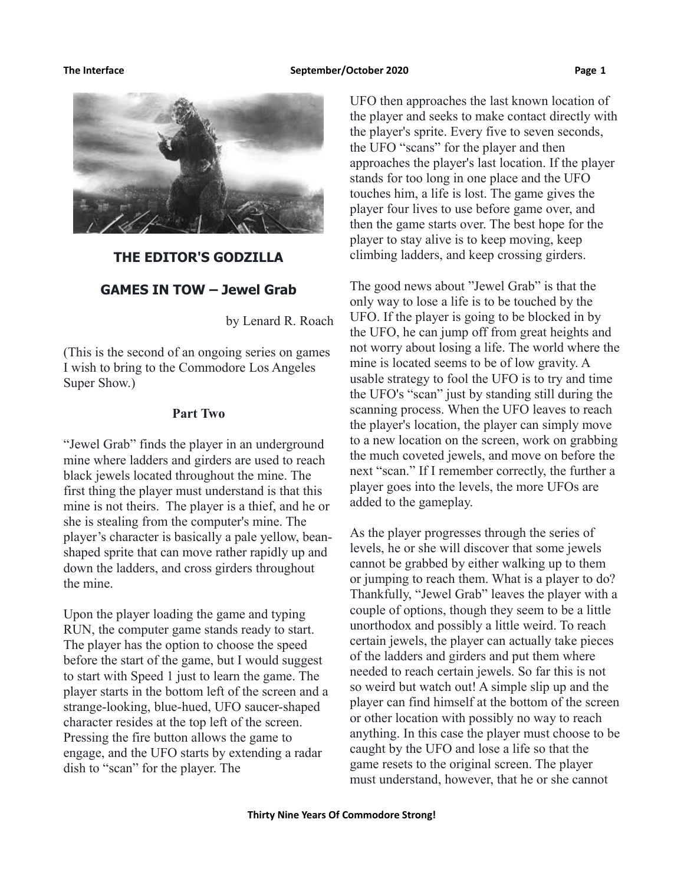

#### **THE EDITOR'S GODZILLA**

### **GAMES IN TOW – Jewel Grab**

by Lenard R. Roach

(This is the second of an ongoing series on games I wish to bring to the Commodore Los Angeles Super Show.)

#### **Part Two**

"Jewel Grab" finds the player in an underground mine where ladders and girders are used to reach black jewels located throughout the mine. The first thing the player must understand is that this mine is not theirs. The player is a thief, and he or she is stealing from the computer's mine. The player's character is basically a pale yellow, beanshaped sprite that can move rather rapidly up and down the ladders, and cross girders throughout the mine.

Upon the player loading the game and typing RUN, the computer game stands ready to start. The player has the option to choose the speed before the start of the game, but I would suggest to start with Speed 1 just to learn the game. The player starts in the bottom left of the screen and a strange-looking, blue-hued, UFO saucer-shaped character resides at the top left of the screen. Pressing the fire button allows the game to engage, and the UFO starts by extending a radar dish to "scan" for the player. The

UFO then approaches the last known location of the player and seeks to make contact directly with the player's sprite. Every five to seven seconds, the UFO "scans" for the player and then approaches the player's last location. If the player stands for too long in one place and the UFO touches him, a life is lost. The game gives the player four lives to use before game over, and then the game starts over. The best hope for the player to stay alive is to keep moving, keep climbing ladders, and keep crossing girders.

The good news about "Jewel Grab" is that the only way to lose a life is to be touched by the UFO. If the player is going to be blocked in by the UFO, he can jump off from great heights and not worry about losing a life. The world where the mine is located seems to be of low gravity. A usable strategy to fool the UFO is to try and time the UFO's "scan" just by standing still during the scanning process. When the UFO leaves to reach the player's location, the player can simply move to a new location on the screen, work on grabbing the much coveted jewels, and move on before the next "scan." If I remember correctly, the further a player goes into the levels, the more UFOs are added to the gameplay.

As the player progresses through the series of levels, he or she will discover that some jewels cannot be grabbed by either walking up to them or jumping to reach them. What is a player to do? Thankfully, "Jewel Grab" leaves the player with a couple of options, though they seem to be a little unorthodox and possibly a little weird. To reach certain jewels, the player can actually take pieces of the ladders and girders and put them where needed to reach certain jewels. So far this is not so weird but watch out! A simple slip up and the player can find himself at the bottom of the screen or other location with possibly no way to reach anything. In this case the player must choose to be caught by the UFO and lose a life so that the game resets to the original screen. The player must understand, however, that he or she cannot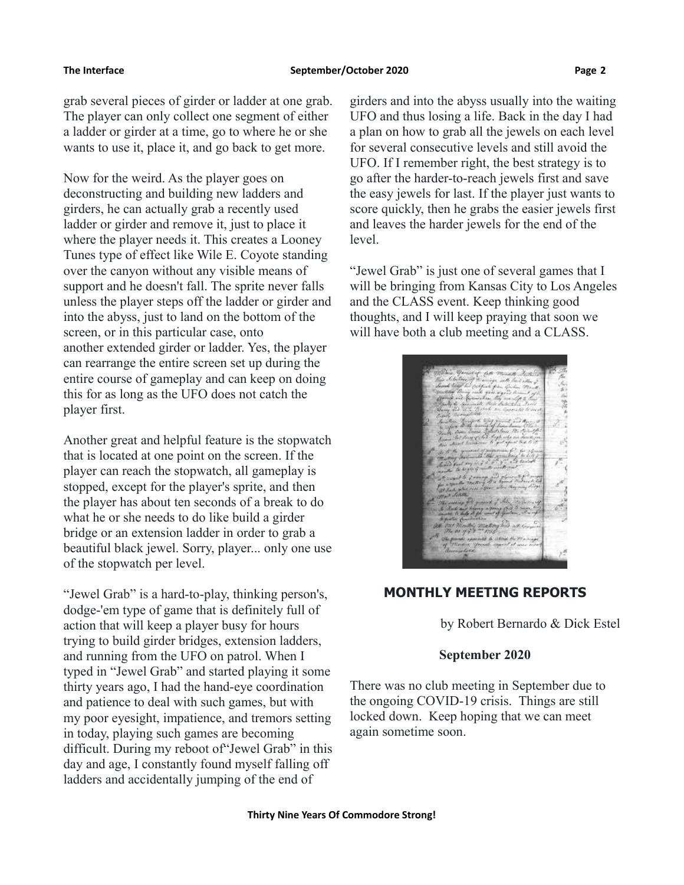grab several pieces of girder or ladder at one grab. The player can only collect one segment of either a ladder or girder at a time, go to where he or she wants to use it, place it, and go back to get more.

Now for the weird. As the player goes on deconstructing and building new ladders and girders, he can actually grab a recently used ladder or girder and remove it, just to place it where the player needs it. This creates a Looney Tunes type of effect like Wile E. Coyote standing over the canyon without any visible means of support and he doesn't fall. The sprite never falls unless the player steps off the ladder or girder and into the abyss, just to land on the bottom of the screen, or in this particular case, onto another extended girder or ladder. Yes, the player can rearrange the entire screen set up during the entire course of gameplay and can keep on doing this for as long as the UFO does not catch the player first.

Another great and helpful feature is the stopwatch that is located at one point on the screen. If the player can reach the stopwatch, all gameplay is stopped, except for the player's sprite, and then the player has about ten seconds of a break to do what he or she needs to do like build a girder bridge or an extension ladder in order to grab a beautiful black jewel. Sorry, player... only one use of the stopwatch per level.

"Jewel Grab" is a hard-to-play, thinking person's, dodge-'em type of game that is definitely full of action that will keep a player busy for hours trying to build girder bridges, extension ladders, and running from the UFO on patrol. When I typed in "Jewel Grab" and started playing it some thirty years ago, I had the hand-eye coordination and patience to deal with such games, but with my poor eyesight, impatience, and tremors setting in today, playing such games are becoming difficult. During my reboot of"Jewel Grab" in this day and age, I constantly found myself falling off ladders and accidentally jumping of the end of

girders and into the abyss usually into the waiting UFO and thus losing a life. Back in the day I had a plan on how to grab all the jewels on each level for several consecutive levels and still avoid the UFO. If I remember right, the best strategy is to go after the harder-to-reach jewels first and save the easy jewels for last. If the player just wants to score quickly, then he grabs the easier jewels first and leaves the harder jewels for the end of the level.

"Jewel Grab" is just one of several games that I will be bringing from Kansas City to Los Angeles and the CLASS event. Keep thinking good thoughts, and I will keep praying that soon we will have both a club meeting and a CLASS.

## **MONTHLY MEETING REPORTS**

by Robert Bernardo & Dick Estel

### **September 2020**

There was no club meeting in September due to the ongoing COVID-19 crisis. Things are still locked down. Keep hoping that we can meet again sometime soon.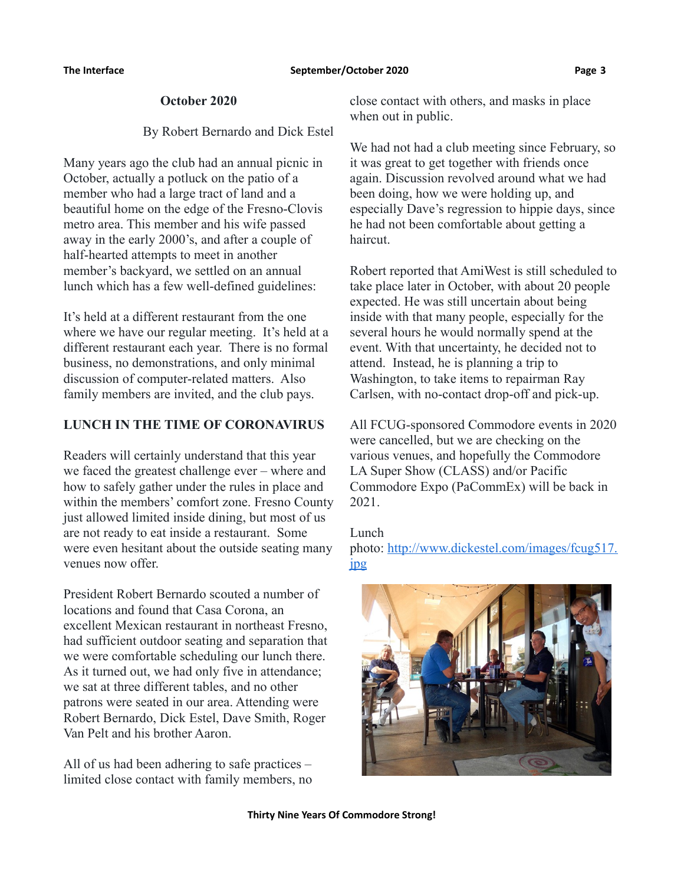### **October 2020**

### By Robert Bernardo and Dick Estel

Many years ago the club had an annual picnic in October, actually a potluck on the patio of a member who had a large tract of land and a beautiful home on the edge of the Fresno-Clovis metro area. This member and his wife passed away in the early 2000's, and after a couple of half-hearted attempts to meet in another member's backyard, we settled on an annual lunch which has a few well-defined guidelines:

It's held at a different restaurant from the one where we have our regular meeting. It's held at a different restaurant each year. There is no formal business, no demonstrations, and only minimal discussion of computer-related matters. Also family members are invited, and the club pays.

## **LUNCH IN THE TIME OF CORONAVIRUS**

Readers will certainly understand that this year we faced the greatest challenge ever – where and how to safely gather under the rules in place and within the members' comfort zone. Fresno County just allowed limited inside dining, but most of us are not ready to eat inside a restaurant. Some were even hesitant about the outside seating many venues now offer.

President Robert Bernardo scouted a number of locations and found that Casa Corona, an excellent Mexican restaurant in northeast Fresno, had sufficient outdoor seating and separation that we were comfortable scheduling our lunch there. As it turned out, we had only five in attendance; we sat at three different tables, and no other patrons were seated in our area. Attending were Robert Bernardo, Dick Estel, Dave Smith, Roger Van Pelt and his brother Aaron.

All of us had been adhering to safe practices – limited close contact with family members, no close contact with others, and masks in place when out in public.

We had not had a club meeting since February, so it was great to get together with friends once again. Discussion revolved around what we had been doing, how we were holding up, and especially Dave's regression to hippie days, since he had not been comfortable about getting a haircut.

Robert reported that AmiWest is still scheduled to take place later in October, with about 20 people expected. He was still uncertain about being inside with that many people, especially for the several hours he would normally spend at the event. With that uncertainty, he decided not to attend. Instead, he is planning a trip to Washington, to take items to repairman Ray Carlsen, with no-contact drop-off and pick-up.

All FCUG-sponsored Commodore events in 2020 were cancelled, but we are checking on the various venues, and hopefully the Commodore LA Super Show (CLASS) and/or Pacific Commodore Expo (PaCommEx) will be back in 2021.

Lunch photo: [http://www.dickestel.com/images/fcug517.](http://www.dickestel.com/images/fcug517.jpg) [jpg](http://www.dickestel.com/images/fcug517.jpg)

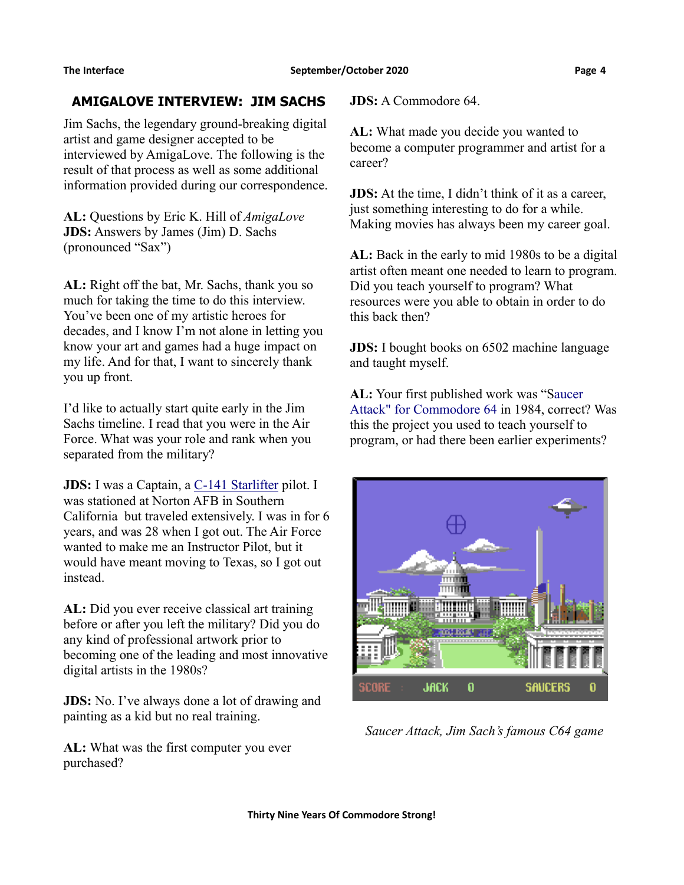## **AMIGALOVE INTERVIEW: JIM SACHS**

Jim Sachs, the legendary ground-breaking digital artist and game designer accepted to be interviewed by AmigaLove. The following is the result of that process as well as some additional information provided during our correspondence.

**AL:** Questions by Eric K. Hill of *AmigaLove* **JDS:** Answers by James (Jim) D. Sachs (pronounced "Sax")

**AL:** Right off the bat, Mr. Sachs, thank you so much for taking the time to do this interview. You've been one of my artistic heroes for decades, and I know I'm not alone in letting you know your art and games had a huge impact on my life. And for that, I want to sincerely thank you up front.

I'd like to actually start quite early in the Jim Sachs timeline. I read that you were in the Air Force. What was your role and rank when you separated from the military?

**JDS:** I was a Captain, a [C-141 Starlifter](https://en.wikipedia.org/wiki/Lockheed_C-141_Starlifter) pilot. I was stationed at Norton AFB in Southern California but traveled extensively. I was in for 6 years, and was 28 when I got out. The Air Force wanted to make me an Instructor Pilot, but it would have meant moving to Texas, so I got out instead.

**AL:** Did you ever receive classical art training before or after you left the military? Did you do any kind of professional artwork prior to becoming one of the leading and most innovative digital artists in the 1980s?

**JDS:** No. I've always done a lot of drawing and painting as a kid but no real training.

**AL:** What was the first computer you ever purchased?

**JDS:** A Commodore 64.

**AL:** What made you decide you wanted to become a computer programmer and artist for a career?

**JDS:** At the time, I didn't think of it as a career, just something interesting to do for a while. Making movies has always been my career goal.

**AL:** Back in the early to mid 1980s to be a digital artist often meant one needed to learn to program. Did you teach yourself to program? What resources were you able to obtain in order to do this back then?

**JDS:** I bought books on 6502 machine language and taught myself.

**AL:** Your first published work was "[Saucer](https://en.wikipedia.org/wiki/Saucer_Attack!)  [Attack" for Commodore 64](https://en.wikipedia.org/wiki/Saucer_Attack!) in 1984, correct? Was this the project you used to teach yourself to program, or had there been earlier experiments?



*Saucer Attack, Jim Sach's famous C64 game*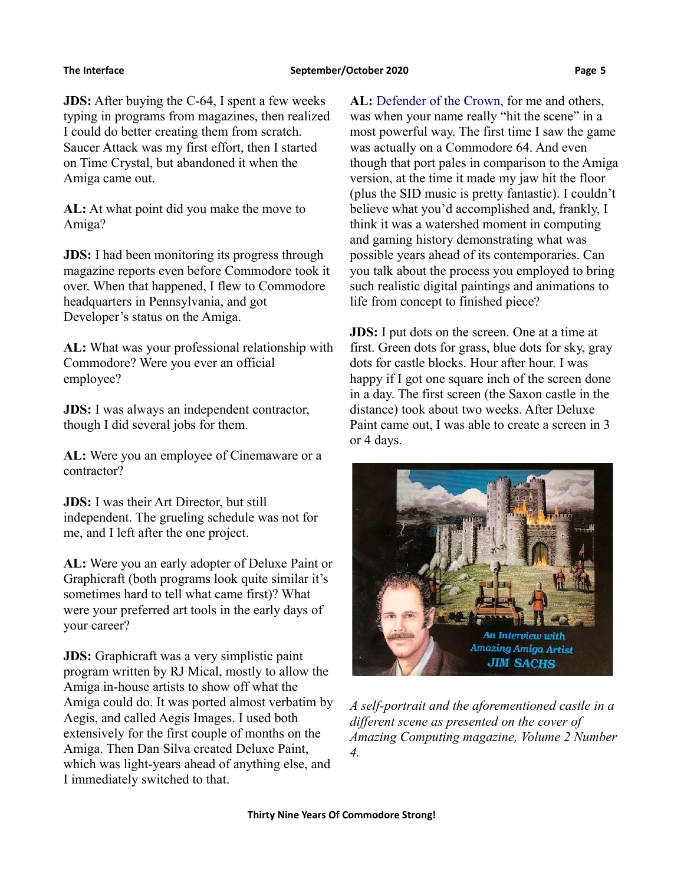**JDS:** After buying the C-64, I spent a few weeks typing in programs from magazines, then realized I could do better creating them from scratch. Saucer Attack was my first effort, then I started on Time Crystal, but abandoned it when the Amiga came out.

**AL:** At what point did you make the move to Amiga?

**JDS:** I had been monitoring its progress through magazine reports even before Commodore took it over. When that happened, I flew to Commodore headquarters in Pennsylvania, and got Developer's status on the Amiga.

**AL:** What was your professional relationship with Commodore? Were you ever an official employee?

**JDS:** I was always an independent contractor, though I did several jobs for them.

**AL:** Were you an employee of Cinemaware or a contractor?

**JDS:** I was their Art Director, but still independent. The grueling schedule was not for me, and I left after the one project.

**AL:** Were you an early adopter of Deluxe Paint or Graphicraft (both programs look quite similar it's sometimes hard to tell what came first)? What were your preferred art tools in the early days of your career?

**JDS:** Graphicraft was a very simplistic paint program written by RJ Mical, mostly to allow the Amiga in-house artists to show off what the Amiga could do. It was ported almost verbatim by Aegis, and called Aegis Images. I used both extensively for the first couple of months on the Amiga. Then Dan Silva created Deluxe Paint, which was light-years ahead of anything else, and I immediately switched to that.

**AL:** [Defender of the Crown,](https://www.amigalove.com/games.php?game_id=32) for me and others, was when your name really "hit the scene" in a most powerful way. The first time I saw the game was actually on a Commodore 64. And even though that port pales in comparison to the Amiga version, at the time it made my jaw hit the floor (plus the SID music is pretty fantastic). I couldn't believe what you'd accomplished and, frankly, I think it was a watershed moment in computing and gaming history demonstrating what was possible years ahead of its contemporaries. Can you talk about the process you employed to bring such realistic digital paintings and animations to life from concept to finished piece?

**JDS:** I put dots on the screen. One at a time at first. Green dots for grass, blue dots for sky, gray dots for castle blocks. Hour after hour. I was happy if I got one square inch of the screen done in a day. The first screen (the Saxon castle in the distance) took about two weeks. After Deluxe Paint came out, I was able to create a screen in 3 or 4 days.



*A self-portrait and the aforementioned castle in a different scene as presented on the cover of Amazing Computing magazine, Volume 2 Number 4.*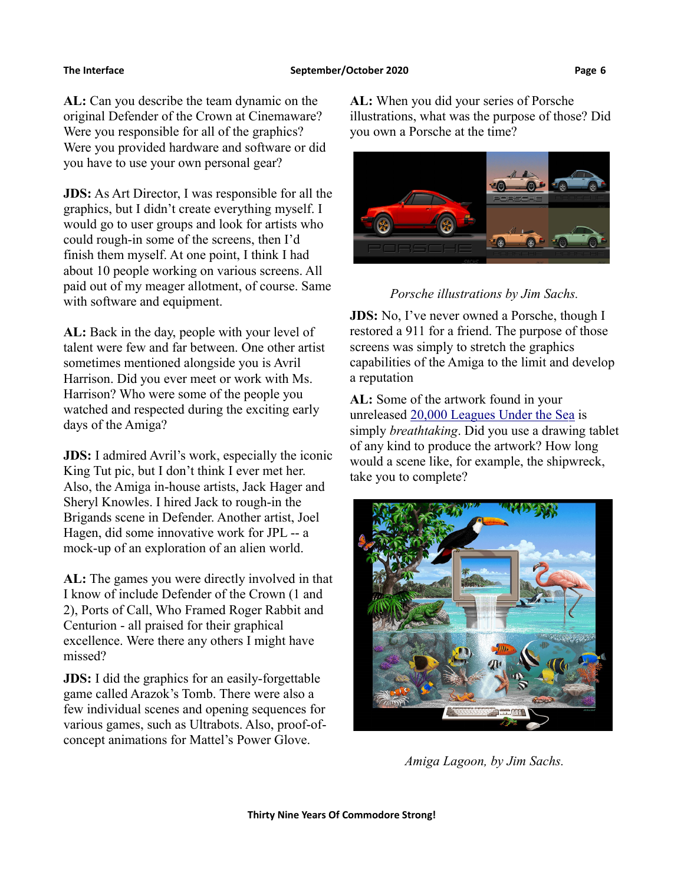**AL:** Can you describe the team dynamic on the original Defender of the Crown at Cinemaware? Were you responsible for all of the graphics? Were you provided hardware and software or did you have to use your own personal gear?

**JDS:** As Art Director, I was responsible for all the graphics, but I didn't create everything myself. I would go to user groups and look for artists who could rough-in some of the screens, then I'd finish them myself. At one point, I think I had about 10 people working on various screens. All paid out of my meager allotment, of course. Same with software and equipment.

**AL:** Back in the day, people with your level of talent were few and far between. One other artist sometimes mentioned alongside you is Avril Harrison. Did you ever meet or work with Ms. Harrison? Who were some of the people you watched and respected during the exciting early days of the Amiga?

**JDS:** I admired Avril's work, especially the iconic King Tut pic, but I don't think I ever met her. Also, the Amiga in-house artists, Jack Hager and Sheryl Knowles. I hired Jack to rough-in the Brigands scene in Defender. Another artist, Joel Hagen, did some innovative work for JPL -- a mock-up of an exploration of an alien world.

**AL:** The games you were directly involved in that I know of include Defender of the Crown (1 and 2), Ports of Call, Who Framed Roger Rabbit and Centurion - all praised for their graphical excellence. Were there any others I might have missed?

**JDS:** I did the graphics for an easily-forgettable game called Arazok's Tomb. There were also a few individual scenes and opening sequences for various games, such as Ultrabots. Also, proof-ofconcept animations for Mattel's Power Glove.

**AL:** When you did your series of Porsche illustrations, what was the purpose of those? Did you own a Porsche at the time?



*Porsche illustrations by Jim Sachs.*

**JDS:** No, I've never owned a Porsche, though I restored a 911 for a friend. The purpose of those screens was simply to stretch the graphics capabilities of the Amiga to the limit and develop a reputation

**AL:** Some of the artwork found in your unreleased  $20,000$  Leagues Under the Sea is simply *breathtaking*. Did you use a drawing tablet of any kind to produce the artwork? How long would a scene like, for example, the shipwreck, take you to complete?



*Amiga Lagoon, by Jim Sachs.*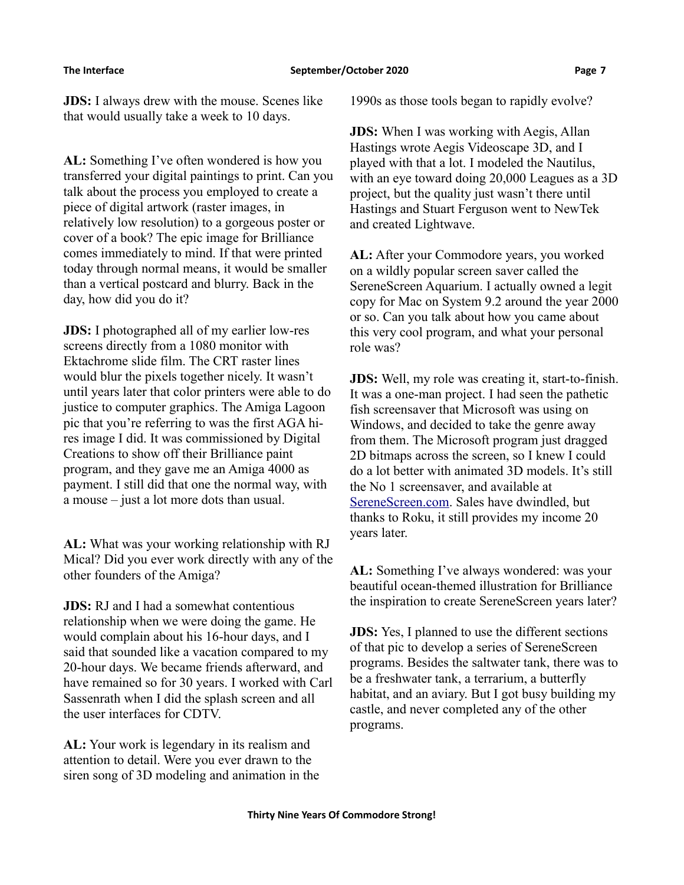**JDS:** I always drew with the mouse. Scenes like that would usually take a week to 10 days.

**AL:** Something I've often wondered is how you transferred your digital paintings to print. Can you talk about the process you employed to create a piece of digital artwork (raster images, in relatively low resolution) to a gorgeous poster or cover of a book? The epic image for Brilliance comes immediately to mind. If that were printed today through normal means, it would be smaller than a vertical postcard and blurry. Back in the day, how did you do it?

**JDS:** I photographed all of my earlier low-res screens directly from a 1080 monitor with Ektachrome slide film. The CRT raster lines would blur the pixels together nicely. It wasn't until years later that color printers were able to do justice to computer graphics. The Amiga Lagoon pic that you're referring to was the first AGA hires image I did. It was commissioned by Digital Creations to show off their Brilliance paint program, and they gave me an Amiga 4000 as payment. I still did that one the normal way, with a mouse – just a lot more dots than usual.

**AL:** What was your working relationship with RJ Mical? Did you ever work directly with any of the other founders of the Amiga?

**JDS:** RJ and I had a somewhat contentious relationship when we were doing the game. He would complain about his 16-hour days, and I said that sounded like a vacation compared to my 20-hour days. We became friends afterward, and have remained so for 30 years. I worked with Carl Sassenrath when I did the splash screen and all the user interfaces for CDTV.

**AL:** Your work is legendary in its realism and attention to detail. Were you ever drawn to the siren song of 3D modeling and animation in the 1990s as those tools began to rapidly evolve?

**JDS:** When I was working with Aegis, Allan Hastings wrote Aegis Videoscape 3D, and I played with that a lot. I modeled the Nautilus, with an eye toward doing 20,000 Leagues as a 3D project, but the quality just wasn't there until Hastings and Stuart Ferguson went to NewTek and created Lightwave.

**AL:** After your Commodore years, you worked on a wildly popular screen saver called the SereneScreen Aquarium. I actually owned a legit copy for Mac on System 9.2 around the year 2000 or so. Can you talk about how you came about this very cool program, and what your personal role was?

**JDS:** Well, my role was creating it, start-to-finish. It was a one-man project. I had seen the pathetic fish screensaver that Microsoft was using on Windows, and decided to take the genre away from them. The Microsoft program just dragged 2D bitmaps across the screen, so I knew I could do a lot better with animated 3D models. It's still the No 1 screensaver, and available at [SereneScreen.com.](https://www.serenescreen.com/v2/) Sales have dwindled, but thanks to Roku, it still provides my income 20 years later.

**AL:** Something I've always wondered: was your beautiful ocean-themed illustration for Brilliance the inspiration to create SereneScreen years later?

**JDS:** Yes, I planned to use the different sections of that pic to develop a series of SereneScreen programs. Besides the saltwater tank, there was to be a freshwater tank, a terrarium, a butterfly habitat, and an aviary. But I got busy building my castle, and never completed any of the other programs.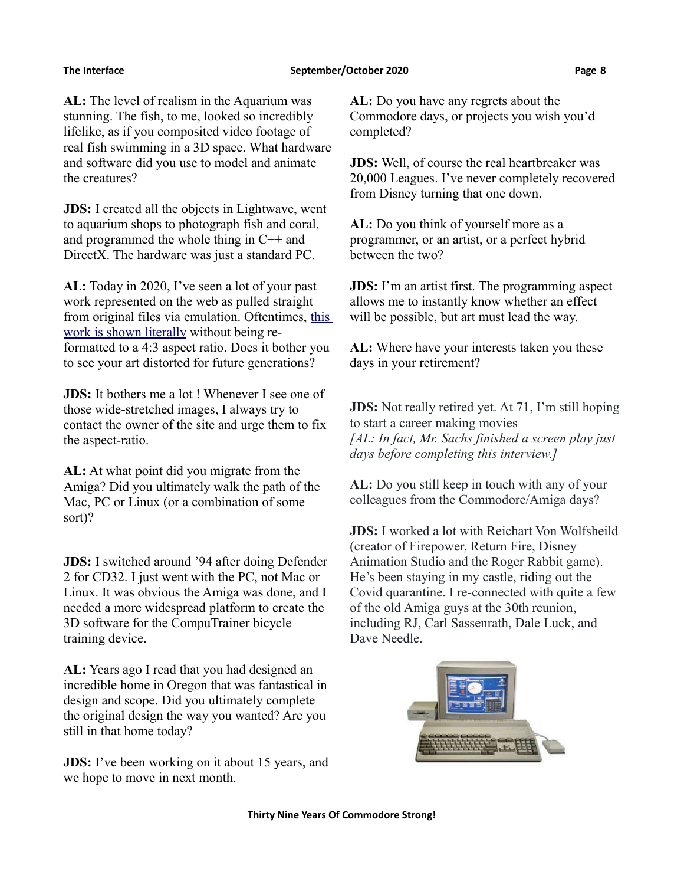**AL:** The level of realism in the Aquarium was stunning. The fish, to me, looked so incredibly lifelike, as if you composited video footage of real fish swimming in a 3D space. What hardware and software did you use to model and animate the creatures?

**JDS:** I created all the objects in Lightwave, went to aquarium shops to photograph fish and coral, and programmed the whole thing in C++ and DirectX. The hardware was just a standard PC.

**AL:** Today in 2020, I've seen a lot of your past work represented on the web as pulled straight from original files via emulation. Oftentimes, [this](https://www.amigalove.com/viewtopic.php?t=38)  [work is shown literally](https://www.amigalove.com/viewtopic.php?t=38) without being reformatted to a 4:3 aspect ratio. Does it bother you to see your art distorted for future generations?

**JDS:** It bothers me a lot ! Whenever I see one of those wide-stretched images, I always try to contact the owner of the site and urge them to fix the aspect-ratio.

**AL:** At what point did you migrate from the Amiga? Did you ultimately walk the path of the Mac, PC or Linux (or a combination of some sort)?

**JDS:** I switched around '94 after doing Defender 2 for CD32. I just went with the PC, not Mac or Linux. It was obvious the Amiga was done, and I needed a more widespread platform to create the 3D software for the CompuTrainer bicycle training device.

**AL:** Years ago I read that you had designed an incredible home in Oregon that was fantastical in design and scope. Did you ultimately complete the original design the way you wanted? Are you still in that home today?

**JDS:** I've been working on it about 15 years, and we hope to move in next month.

**AL:** Do you have any regrets about the Commodore days, or projects you wish you'd completed?

**JDS:** Well, of course the real heartbreaker was 20,000 Leagues. I've never completely recovered from Disney turning that one down.

**AL:** Do you think of yourself more as a programmer, or an artist, or a perfect hybrid between the two?

**JDS:** I'm an artist first. The programming aspect allows me to instantly know whether an effect will be possible, but art must lead the way.

**AL:** Where have your interests taken you these days in your retirement?

**JDS:** Not really retired yet. At 71, I'm still hoping to start a career making movies *[AL: In fact, Mr. Sachs finished a screen play just days before completing this interview.]*

**AL:** Do you still keep in touch with any of your colleagues from the Commodore/Amiga days?

**JDS:** I worked a lot with Reichart Von Wolfsheild (creator of Firepower, Return Fire, Disney Animation Studio and the Roger Rabbit game). He's been staying in my castle, riding out the Covid quarantine. I re-connected with quite a few of the old Amiga guys at the 30th reunion, including RJ, Carl Sassenrath, Dale Luck, and Dave Needle.

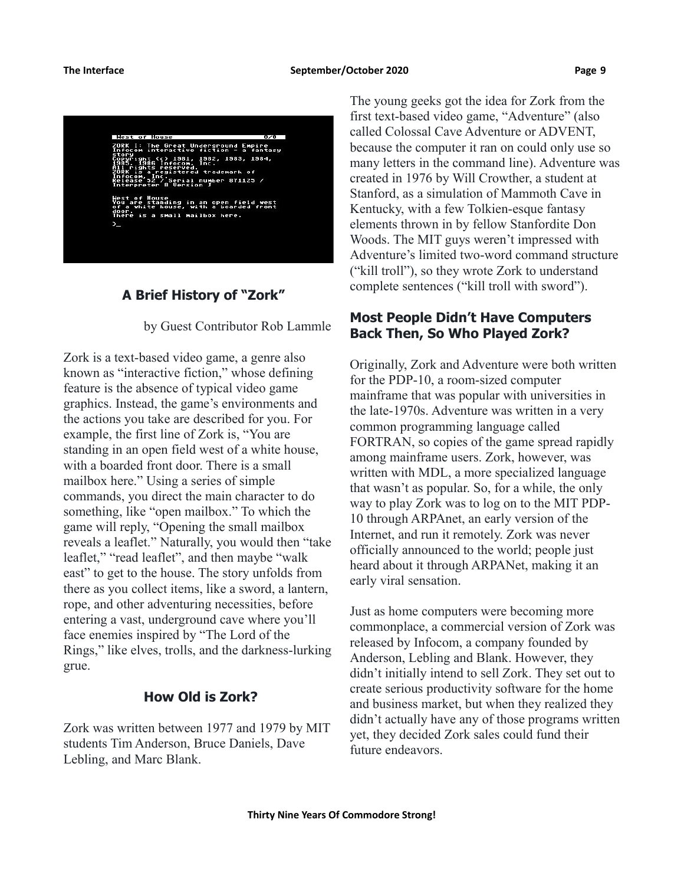

## **A Brief History of "Zork"**

by Guest Contributor Rob Lammle

Zork is a text-based video game, a genre also known as "interactive fiction," whose defining feature is the absence of typical video game graphics. Instead, the game's environments and the actions you take are described for you. For example, the first line of Zork is, "You are standing in an open field west of a white house, with a boarded front door. There is a small mailbox here." Using a series of simple commands, you direct the main character to do something, like "open mailbox." To which the game will reply, "Opening the small mailbox reveals a leaflet." Naturally, you would then "take leaflet," "read leaflet", and then maybe "walk east" to get to the house. The story unfolds from there as you collect items, like a sword, a lantern, rope, and other adventuring necessities, before entering a vast, underground cave where you'll face enemies inspired by "The Lord of the Rings," like elves, trolls, and the darkness-lurking grue.

## **How Old is Zork?**

Zork was written between 1977 and 1979 by MIT students Tim Anderson, Bruce Daniels, Dave Lebling, and Marc Blank.

The young geeks got the idea for Zork from the first text-based video game, "Adventure" (also called Colossal Cave Adventure or ADVENT, because the computer it ran on could only use so many letters in the command line). Adventure was created in 1976 by Will Crowther, a student at Stanford, as a simulation of Mammoth Cave in Kentucky, with a few Tolkien-esque fantasy elements thrown in by fellow Stanfordite Don Woods. The MIT guys weren't impressed with Adventure's limited two-word command structure ("kill troll"), so they wrote Zork to understand complete sentences ("kill troll with sword").

# **Most People Didn't Have Computers Back Then, So Who Played Zork?**

Originally, Zork and Adventure were both written for the PDP-10, a room-sized computer mainframe that was popular with universities in the late-1970s. Adventure was written in a very common programming language called FORTRAN, so copies of the game spread rapidly among mainframe users. Zork, however, was written with MDL, a more specialized language that wasn't as popular. So, for a while, the only way to play Zork was to log on to the MIT PDP-10 through ARPAnet, an early version of the Internet, and run it remotely. Zork was never officially announced to the world; people just heard about it through ARPANet, making it an early viral sensation.

Just as home computers were becoming more commonplace, a commercial version of Zork was released by Infocom, a company founded by Anderson, Lebling and Blank. However, they didn't initially intend to sell Zork. They set out to create serious productivity software for the home and business market, but when they realized they didn't actually have any of those programs written yet, they decided Zork sales could fund their future endeavors.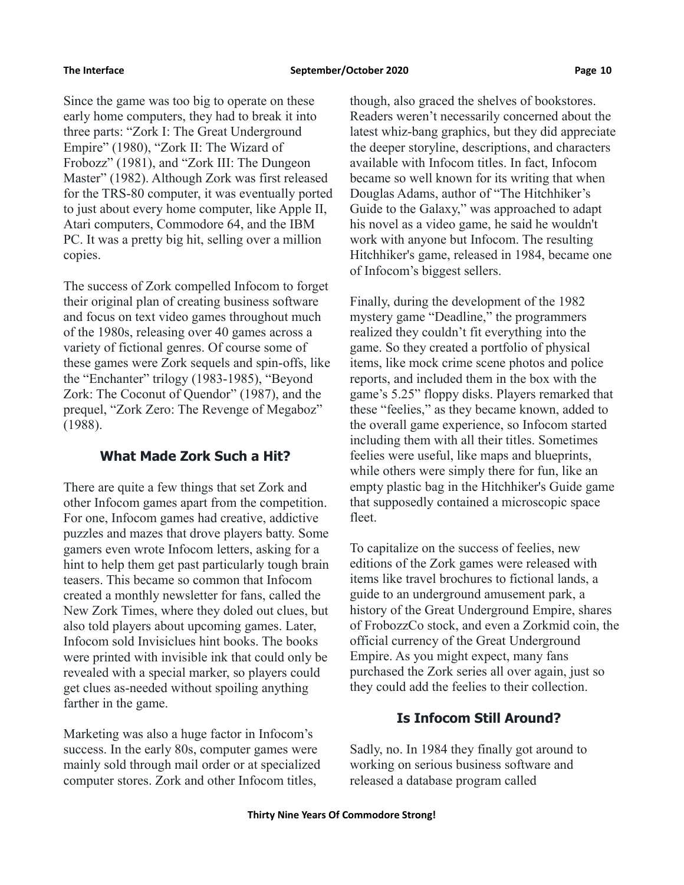Since the game was too big to operate on these early home computers, they had to break it into three parts: "Zork I: The Great Underground Empire" (1980), "Zork II: The Wizard of Frobozz" (1981), and "Zork III: The Dungeon Master" (1982). Although Zork was first released for the TRS-80 computer, it was eventually ported to just about every home computer, like Apple II, Atari computers, Commodore 64, and the IBM PC. It was a pretty big hit, selling over a million copies.

The success of Zork compelled Infocom to forget their original plan of creating business software and focus on text video games throughout much of the 1980s, releasing over 40 games across a variety of fictional genres. Of course some of these games were Zork sequels and spin-offs, like the "Enchanter" trilogy (1983-1985), "Beyond Zork: The Coconut of Quendor" (1987), and the prequel, "Zork Zero: The Revenge of Megaboz" (1988).

## **What Made Zork Such a Hit?**

There are quite a few things that set Zork and other Infocom games apart from the competition. For one, Infocom games had creative, addictive puzzles and mazes that drove players batty. Some gamers even wrote Infocom letters, asking for a hint to help them get past particularly tough brain teasers. This became so common that Infocom created a monthly newsletter for fans, called the New Zork Times, where they doled out clues, but also told players about upcoming games. Later, Infocom sold Invisiclues hint books. The books were printed with invisible ink that could only be revealed with a special marker, so players could get clues as-needed without spoiling anything farther in the game.

Marketing was also a huge factor in Infocom's success. In the early 80s, computer games were mainly sold through mail order or at specialized computer stores. Zork and other Infocom titles,

though, also graced the shelves of bookstores. Readers weren't necessarily concerned about the latest whiz-bang graphics, but they did appreciate the deeper storyline, descriptions, and characters available with Infocom titles. In fact, Infocom became so well known for its writing that when Douglas Adams, author of "The Hitchhiker's Guide to the Galaxy," was approached to adapt his novel as a video game, he said he wouldn't work with anyone but Infocom. The resulting Hitchhiker's game, released in 1984, became one of Infocom's biggest sellers.

Finally, during the development of the 1982 mystery game "Deadline," the programmers realized they couldn't fit everything into the game. So they created a portfolio of physical items, like mock crime scene photos and police reports, and included them in the box with the game's 5.25" floppy disks. Players remarked that these "feelies," as they became known, added to the overall game experience, so Infocom started including them with all their titles. Sometimes feelies were useful, like maps and blueprints, while others were simply there for fun, like an empty plastic bag in the Hitchhiker's Guide game that supposedly contained a microscopic space fleet.

To capitalize on the success of feelies, new editions of the Zork games were released with items like travel brochures to fictional lands, a guide to an underground amusement park, a history of the Great Underground Empire, shares of FrobozzCo stock, and even a Zorkmid coin, the official currency of the Great Underground Empire. As you might expect, many fans purchased the Zork series all over again, just so they could add the feelies to their collection.

### **Is Infocom Still Around?**

Sadly, no. In 1984 they finally got around to working on serious business software and released a database program called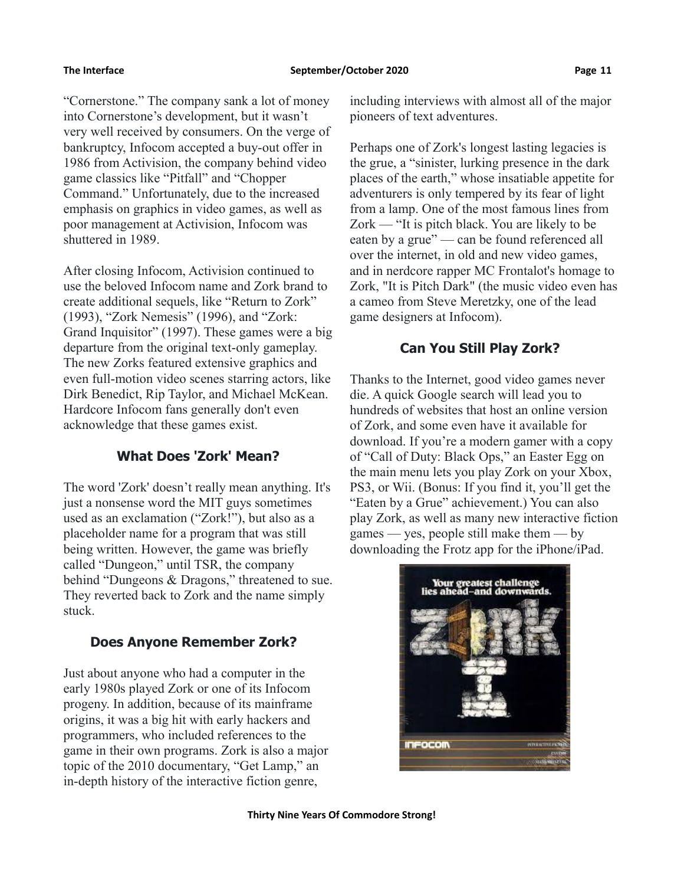"Cornerstone." The company sank a lot of money into Cornerstone's development, but it wasn't very well received by consumers. On the verge of bankruptcy, Infocom accepted a buy-out offer in 1986 from Activision, the company behind video game classics like "Pitfall" and "Chopper Command." Unfortunately, due to the increased emphasis on graphics in video games, as well as poor management at Activision, Infocom was shuttered in 1989.

After closing Infocom, Activision continued to use the beloved Infocom name and Zork brand to create additional sequels, like "Return to Zork" (1993), "Zork Nemesis" (1996), and "Zork: Grand Inquisitor" (1997). These games were a big departure from the original text-only gameplay. The new Zorks featured extensive graphics and even full-motion video scenes starring actors, like Dirk Benedict, Rip Taylor, and Michael McKean. Hardcore Infocom fans generally don't even acknowledge that these games exist.

# **What Does 'Zork' Mean?**

The word 'Zork' doesn't really mean anything. It's just a nonsense word the MIT guys sometimes used as an exclamation ("Zork!"), but also as a placeholder name for a program that was still being written. However, the game was briefly called "Dungeon," until TSR, the company behind "Dungeons & Dragons," threatened to sue. They reverted back to Zork and the name simply stuck.

# **Does Anyone Remember Zork?**

Just about anyone who had a computer in the early 1980s played Zork or one of its Infocom progeny. In addition, because of its mainframe origins, it was a big hit with early hackers and programmers, who included references to the game in their own programs. Zork is also a major topic of the 2010 documentary, "Get Lamp," an in-depth history of the interactive fiction genre,

including interviews with almost all of the major pioneers of text adventures.

Perhaps one of Zork's longest lasting legacies is the grue, a "sinister, lurking presence in the dark places of the earth," whose insatiable appetite for adventurers is only tempered by its fear of light from a lamp. One of the most famous lines from Zork — "It is pitch black. You are likely to be eaten by a grue" — can be found referenced all over the internet, in old and new video games, and in nerdcore rapper MC Frontalot's homage to Zork, "It is Pitch Dark" (the music video even has a cameo from Steve Meretzky, one of the lead game designers at Infocom).

# **Can You Still Play Zork?**

Thanks to the Internet, good video games never die. A quick Google search will lead you to hundreds of websites that host an online version of Zork, and some even have it available for download. If you're a modern gamer with a copy of "Call of Duty: Black Ops," an Easter Egg on the main menu lets you play Zork on your Xbox, PS3, or Wii. (Bonus: If you find it, you'll get the "Eaten by a Grue" achievement.) You can also play Zork, as well as many new interactive fiction games — yes, people still make them — by downloading the Frotz app for the iPhone/iPad.

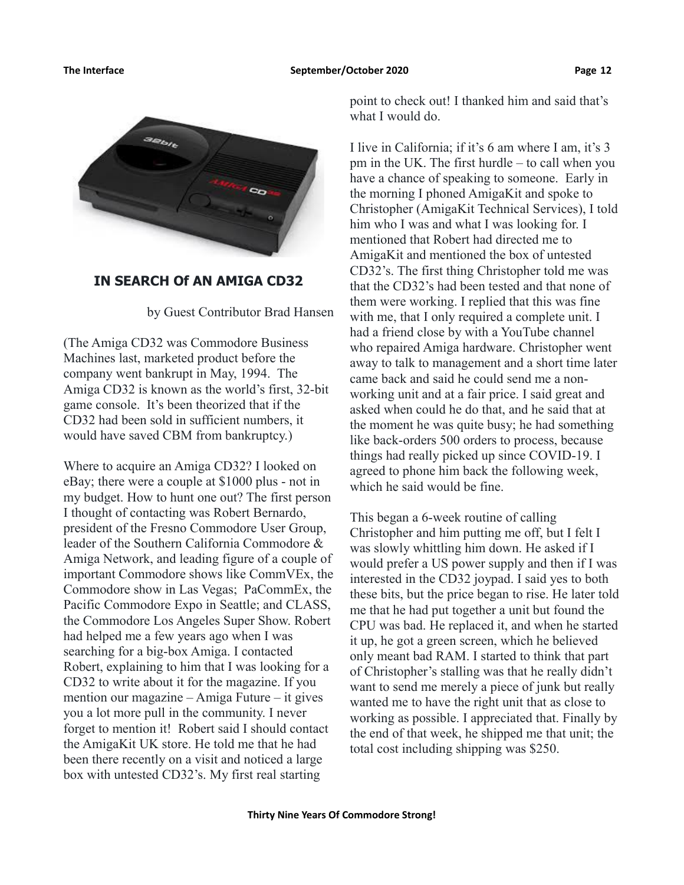

### **IN SEARCH Of AN AMIGA CD32**

by Guest Contributor Brad Hansen

(The Amiga CD32 was Commodore Business Machines last, marketed product before the company went bankrupt in May, 1994. The Amiga CD32 is known as the world's first, 32-bit game console. It's been theorized that if the CD32 had been sold in sufficient numbers, it would have saved CBM from bankruptcy.)

Where to acquire an Amiga CD32? I looked on eBay; there were a couple at \$1000 plus - not in my budget. How to hunt one out? The first person I thought of contacting was Robert Bernardo, president of the Fresno Commodore User Group, leader of the Southern California Commodore & Amiga Network, and leading figure of a couple of important Commodore shows like CommVEx, the Commodore show in Las Vegas; PaCommEx, the Pacific Commodore Expo in Seattle; and CLASS, the Commodore Los Angeles Super Show. Robert had helped me a few years ago when I was searching for a big-box Amiga. I contacted Robert, explaining to him that I was looking for a CD32 to write about it for the magazine. If you mention our magazine – Amiga Future – it gives you a lot more pull in the community. I never forget to mention it! Robert said I should contact the AmigaKit UK store. He told me that he had been there recently on a visit and noticed a large box with untested CD32's. My first real starting

point to check out! I thanked him and said that's what I would do.

I live in California; if it's 6 am where I am, it's 3 pm in the UK. The first hurdle – to call when you have a chance of speaking to someone. Early in the morning I phoned AmigaKit and spoke to Christopher (AmigaKit Technical Services), I told him who I was and what I was looking for. I mentioned that Robert had directed me to AmigaKit and mentioned the box of untested CD32's. The first thing Christopher told me was that the CD32's had been tested and that none of them were working. I replied that this was fine with me, that I only required a complete unit. I had a friend close by with a YouTube channel who repaired Amiga hardware. Christopher went away to talk to management and a short time later came back and said he could send me a nonworking unit and at a fair price. I said great and asked when could he do that, and he said that at the moment he was quite busy; he had something like back-orders 500 orders to process, because things had really picked up since COVID-19. I agreed to phone him back the following week, which he said would be fine.

This began a 6-week routine of calling Christopher and him putting me off, but I felt I was slowly whittling him down. He asked if I would prefer a US power supply and then if I was interested in the CD32 joypad. I said yes to both these bits, but the price began to rise. He later told me that he had put together a unit but found the CPU was bad. He replaced it, and when he started it up, he got a green screen, which he believed only meant bad RAM. I started to think that part of Christopher's stalling was that he really didn't want to send me merely a piece of junk but really wanted me to have the right unit that as close to working as possible. I appreciated that. Finally by the end of that week, he shipped me that unit; the total cost including shipping was \$250.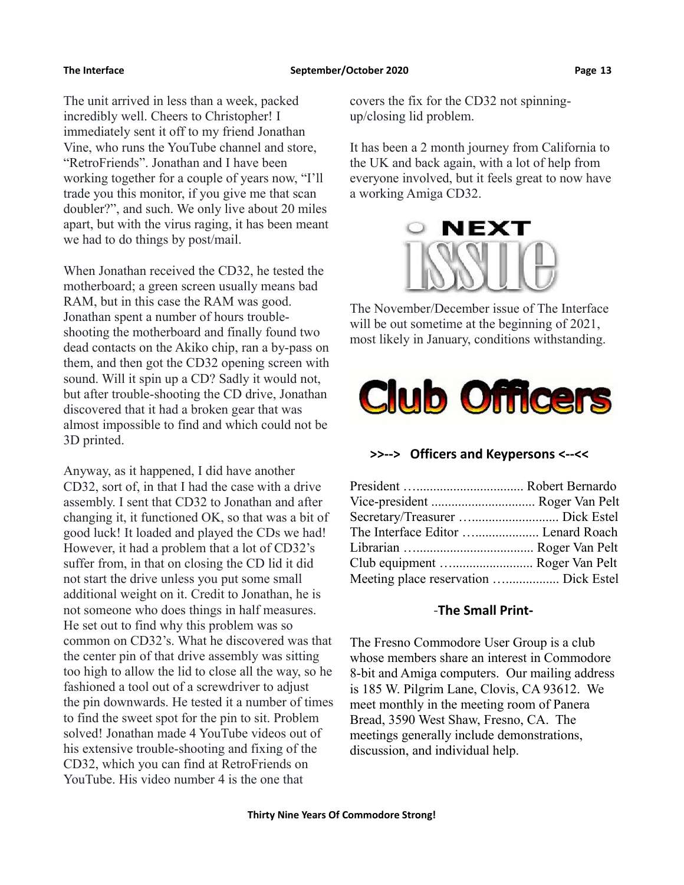The unit arrived in less than a week, packed incredibly well. Cheers to Christopher! I immediately sent it off to my friend Jonathan Vine, who runs the YouTube channel and store, "RetroFriends". Jonathan and I have been working together for a couple of years now, "I'll trade you this monitor, if you give me that scan doubler?", and such. We only live about 20 miles apart, but with the virus raging, it has been meant we had to do things by post/mail.

When Jonathan received the CD32, he tested the motherboard; a green screen usually means bad RAM, but in this case the RAM was good. Jonathan spent a number of hours troubleshooting the motherboard and finally found two dead contacts on the Akiko chip, ran a by-pass on them, and then got the CD32 opening screen with sound. Will it spin up a CD? Sadly it would not, but after trouble-shooting the CD drive, Jonathan discovered that it had a broken gear that was almost impossible to find and which could not be 3D printed.

Anyway, as it happened, I did have another CD32, sort of, in that I had the case with a drive assembly. I sent that CD32 to Jonathan and after changing it, it functioned OK, so that was a bit of good luck! It loaded and played the CDs we had! However, it had a problem that a lot of CD32's suffer from, in that on closing the CD lid it did not start the drive unless you put some small additional weight on it. Credit to Jonathan, he is not someone who does things in half measures. He set out to find why this problem was so common on CD32's. What he discovered was that the center pin of that drive assembly was sitting too high to allow the lid to close all the way, so he fashioned a tool out of a screwdriver to adjust the pin downwards. He tested it a number of times to find the sweet spot for the pin to sit. Problem solved! Jonathan made 4 YouTube videos out of his extensive trouble-shooting and fixing of the CD32, which you can find at RetroFriends on YouTube. His video number 4 is the one that

covers the fix for the CD32 not spinningup/closing lid problem.

It has been a 2 month journey from California to the UK and back again, with a lot of help from everyone involved, but it feels great to now have a working Amiga CD32.



The November/December issue of The Interface will be out sometime at the beginning of 2021. most likely in January, conditions withstanding.



### **>>--> Officers and Keypersons <--<<**

| The Interface Editor  Lenard Roach    |  |
|---------------------------------------|--|
|                                       |  |
| Club equipment  Roger Van Pelt        |  |
| Meeting place reservation  Dick Estel |  |

### -**The Small Print-**

The Fresno Commodore User Group is a club whose members share an interest in Commodore 8-bit and Amiga computers. Our mailing address is 185 W. Pilgrim Lane, Clovis, CA 93612. We meet monthly in the meeting room of Panera Bread, 3590 West Shaw, Fresno, CA. The meetings generally include demonstrations, discussion, and individual help.